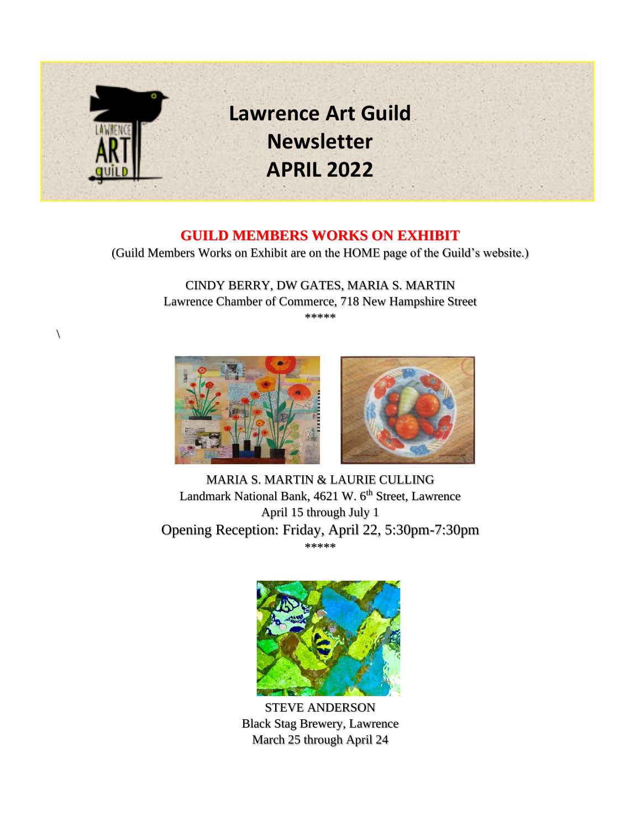

#### **GUILD MEMBERS WORKS ON EXHIBIT**

(Guild Members Works on Exhibit are on the HOME page of the Guild's website.)

CINDY BERRY, DW GATES, MARIA S. MARTIN Lawrence Chamber of Commerce, 718 New Hampshire Street \*\*\*\*\*



 $\sqrt{2}$ 



MARIA S. MARTIN & LAURIE CULLING Landmark National Bank, 4621 W. 6<sup>th</sup> Street, Lawrence April 15 through July 1 Opening Reception: Friday, April 22, 5:30pm-7:30pm \*\*\*\*\*



STEVE ANDERSON Black Stag Brewery, Lawrence March 25 through April 24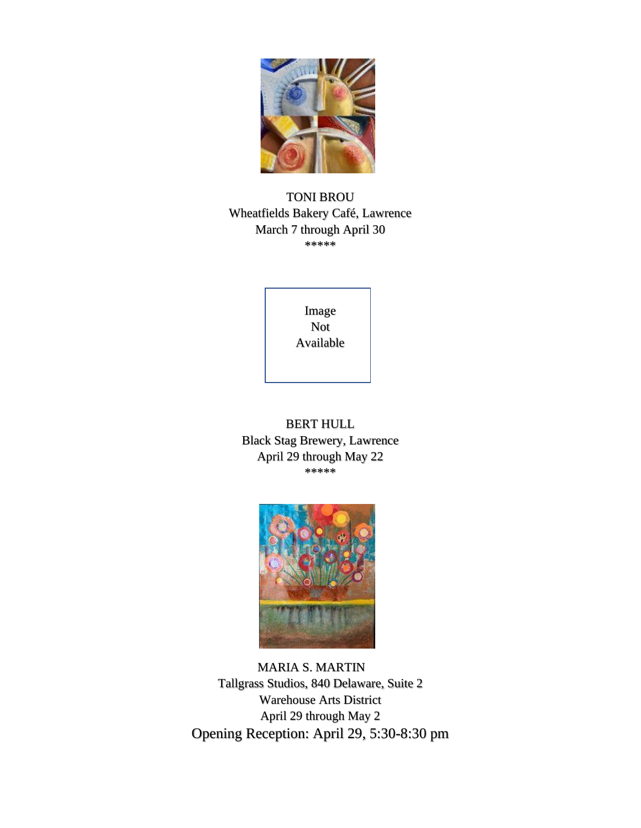

TONI BROU Wheatfields Bakery Café, Lawrence March 7 through April 30 \*\*\*\*\*

> NOT Not Image Available

BERT HULL Black Stag Brewery, Lawrence April 29 through May 22 \*\*\*\*\*



 MARIA S. MARTIN Tallgrass Studios, 840 Delaware, Suite 2 Warehouse Arts District April 29 through May 2 Opening Reception: April 29, 5:30-8:30 pm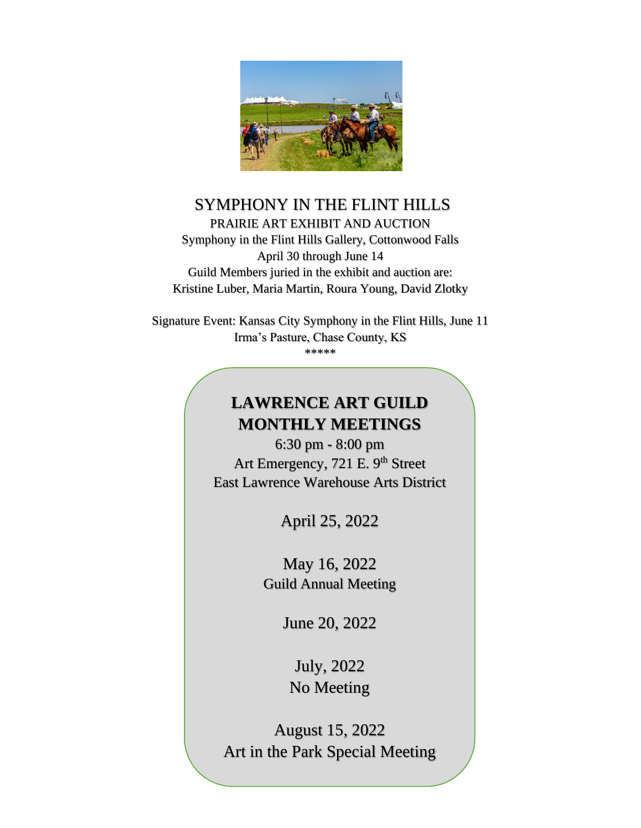

## SYMPHONY IN THE FLINT HILLS PRAIRIE ART EXHIBIT AND AUCTION Symphony in the Flint Hills Gallery, Cottonwood Falls April 30 through June 14 Guild Members juried in the exhibit and auction are: Kristine Luber, Maria Martin, Roura Young, David Zlotky

Signature Event: Kansas City Symphony in the Flint Hills, June 11 Irma's Pasture, Chase County, KS \*\*\*\*\*

# **LAWRENCE ART GUILD MONTHLY MEETINGS**

6:30 pm - 8:00 pm Art Emergency, 721 E. 9<sup>th</sup> Street East Lawrence Warehouse Arts District

April 25, 2022

May 16, 2022 Guild Annual Meeting

June 20, 2022

July, 2022 No Meeting

August 15, 2022 Art in the Park Special Meeting